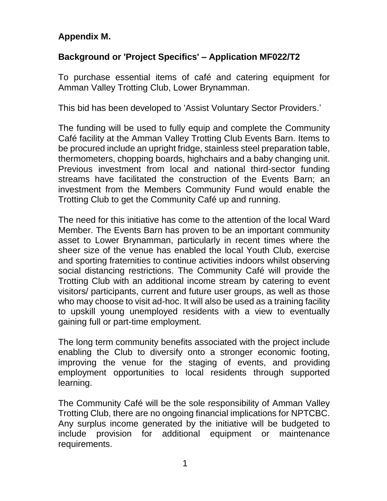## **Appendix M.**

## **Background or 'Project Specifics' – Application MF022/T2**

To purchase essential items of café and catering equipment for Amman Valley Trotting Club, Lower Brynamman.

This bid has been developed to 'Assist Voluntary Sector Providers.'

The funding will be used to fully equip and complete the Community Café facility at the Amman Valley Trotting Club Events Barn. Items to be procured include an upright fridge, stainless steel preparation table, thermometers, chopping boards, highchairs and a baby changing unit. Previous investment from local and national third-sector funding streams have facilitated the construction of the Events Barn; an investment from the Members Community Fund would enable the Trotting Club to get the Community Café up and running.

The need for this initiative has come to the attention of the local Ward Member. The Events Barn has proven to be an important community asset to Lower Brynamman, particularly in recent times where the sheer size of the venue has enabled the local Youth Club, exercise and sporting fraternities to continue activities indoors whilst observing social distancing restrictions. The Community Café will provide the Trotting Club with an additional income stream by catering to event visitors/ participants, current and future user groups, as well as those who may choose to visit ad-hoc. It will also be used as a training facility to upskill young unemployed residents with a view to eventually gaining full or part-time employment.

The long term community benefits associated with the project include enabling the Club to diversify onto a stronger economic footing, improving the venue for the staging of events, and providing employment opportunities to local residents through supported learning.

The Community Café will be the sole responsibility of Amman Valley Trotting Club, there are no ongoing financial implications for NPTCBC. Any surplus income generated by the initiative will be budgeted to include provision for additional equipment or maintenance requirements.